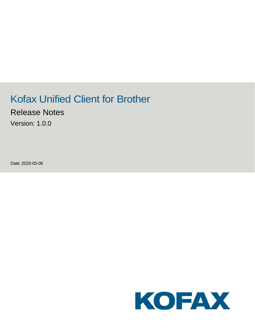# Kofax Unified Client for Brother Release Notes

Version: 1.0.0

Date: 2020-05-06

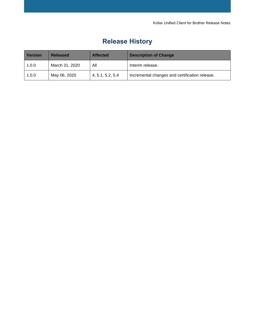Kofax Unified Client for Brother Release Notes

# **Release History**

| <b>Version</b> | <b>Released</b> | <b>Affected</b>  | <b>Description of Change</b>                   |
|----------------|-----------------|------------------|------------------------------------------------|
| 1.0.0          | March 31, 2020  | All              | Interim release.                               |
| 1.0.0          | May 06, 2020    | 4, 5.1, 5.2, 5.4 | Incremental changes and certification release. |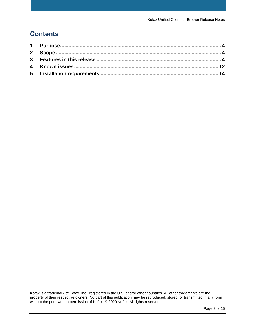### **Contents**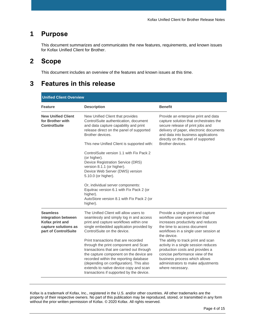#### <span id="page-3-0"></span>**1 Purpose**

This document summarizes and communicates the new features, requirements, and known issues for Kofax Unified Client for Brother.

# <span id="page-3-1"></span>**2 Scope**

This document includes an overview of the features and known issues at this time.

#### <span id="page-3-2"></span>**3 Features in this release**

| <b>Unified Client Overview</b>                                                                            |                                                                                                                                                                                                                                                                                                                                                                                                                                                                                                                                                          |                                                                                                                                                                                                                                                                                                                                                                                                                                                  |
|-----------------------------------------------------------------------------------------------------------|----------------------------------------------------------------------------------------------------------------------------------------------------------------------------------------------------------------------------------------------------------------------------------------------------------------------------------------------------------------------------------------------------------------------------------------------------------------------------------------------------------------------------------------------------------|--------------------------------------------------------------------------------------------------------------------------------------------------------------------------------------------------------------------------------------------------------------------------------------------------------------------------------------------------------------------------------------------------------------------------------------------------|
| <b>Feature</b>                                                                                            | <b>Description</b>                                                                                                                                                                                                                                                                                                                                                                                                                                                                                                                                       | <b>Benefit</b>                                                                                                                                                                                                                                                                                                                                                                                                                                   |
| <b>New Unified Client</b><br>for Brother with<br><b>ControlSuite</b>                                      | New Unified Client that provides<br>ControlSuite authentication, document<br>and data capture capability and print<br>release direct on the panel of supported<br>Brother devices.<br>This new Unified Client is supported with:                                                                                                                                                                                                                                                                                                                         | Provide an enterprise print and data<br>capture solution that orchestrates the<br>secure release of print jobs and<br>delivery of paper, electronic documents<br>and data into business applications<br>directly on the panel of supported<br>Brother devices.                                                                                                                                                                                   |
|                                                                                                           | ControlSuite version 1.1 with Fix Pack 2<br>(or higher).<br>Device Registration Service (DRS)<br>version 8.1.1 (or higher).<br>Device Web Server (DWS) version<br>5.10.0 (or higher).<br>Or, individual server components:<br>Equitrac version 6.1 with Fix Pack 2 (or<br>higher).<br>AutoStore version 8.1 with Fix Pack 2 (or<br>higher).                                                                                                                                                                                                              |                                                                                                                                                                                                                                                                                                                                                                                                                                                  |
| <b>Seamless</b><br>integration between<br>Kofax print and<br>capture solutions as<br>part of ControlSuite | The Unified Client will allow users to<br>seamlessly and simply log in and access<br>print and capture workflows within one<br>single embedded application provided by<br>ControlSuite on the device.<br>Print transactions that are recorded<br>through the print component and Scan<br>transactions that are carried out through<br>the capture component on the device are<br>recorded within the reporting database<br>(depending on configuration). This also<br>extends to native device copy and scan<br>transactions if supported by the device. | Provide a single print and capture<br>workflow user experience that<br>increases productivity and reduces<br>the time to access document<br>workflows in a single user session at<br>the device.<br>The ability to track print and scan<br>activity in a single session reduces<br>production costs and provides a<br>concise performance view of the<br>business process which allows<br>administrators to make adjustments<br>where necessary. |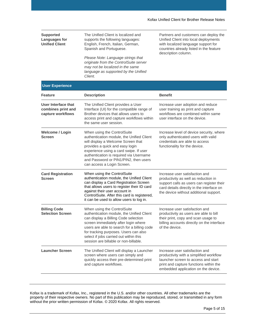| <b>Supported</b><br><b>Languages for</b><br><b>Unified Client</b>     | The Unified Client is localized and<br>supports the following languages:<br>English, French, Italian, German,<br>Spanish and Portuguese.<br>Please Note: Language strings that<br>originate from the ControlSuite server<br>may not be localized in the same                                                                        | Partners and customers can deploy the<br>Unified Client into local deployments<br>with localized language support for<br>countries already listed in the feature<br>description column.                    |
|-----------------------------------------------------------------------|-------------------------------------------------------------------------------------------------------------------------------------------------------------------------------------------------------------------------------------------------------------------------------------------------------------------------------------|------------------------------------------------------------------------------------------------------------------------------------------------------------------------------------------------------------|
|                                                                       | language as supported by the Unified<br>Client.                                                                                                                                                                                                                                                                                     |                                                                                                                                                                                                            |
| <b>User Experience</b>                                                |                                                                                                                                                                                                                                                                                                                                     |                                                                                                                                                                                                            |
| Feature                                                               | <b>Description</b>                                                                                                                                                                                                                                                                                                                  | <b>Benefit</b>                                                                                                                                                                                             |
| <b>User Interface that</b><br>combines print and<br>capture workflows | The Unified Client provides a User<br>Interface (UI) for the compatible range of<br>Brother devices that allows users to<br>access print and capture workflows within<br>the same user session.                                                                                                                                     | Increase user adoption and reduce<br>user training as print and capture<br>workflows are combined within same<br>user interface on the device.                                                             |
| <b>Welcome / Login</b><br>Screen                                      | When using the ControlSuite<br>authentication module, the Unified Client<br>will display a Welcome Screen that<br>provides a quick and easy login<br>experience using a card swipe. If user<br>authentication is required via Username<br>and Password or PIN1/PIN2, then users<br>can access a Login Screen.                       | Increase level of device security, where<br>only authenticated users with valid<br>credentials are able to access<br>functionality for the device.                                                         |
| <b>Card Registration</b><br>Screen                                    | When using the ControlSuite<br>authentication module, the Unified Client<br>can display a Card Registration Screen<br>that allows users to register their ID card<br>against their user account in<br>ControlSuite. After this card is registered,<br>it can be used to allow users to log in.                                      | Increase user satisfaction and<br>productivity as well as reduction in<br>support calls as users can register their<br>card details directly in the interface on<br>the device without additional support. |
| <b>Billing Code</b><br><b>Selection Screen</b>                        | When using the ControlSuite<br>authentication module, the Unified Client<br>can display a Billing Code selection<br>screen immediately after login where<br>users are able to search for a billing code<br>for tracking purposes. Users can also<br>select if jobs carried out within this<br>session are billable or non-billable. | Increase user satisfaction and<br>productivity as users are able to bill<br>their print, copy and scan usage to<br>billing accounts directly on the interface<br>of the device.                            |
| <b>Launcher Screen</b>                                                | The Unified Client will display a Launcher<br>screen where users can simply and<br>quickly access their pre-determined print<br>and capture workflows.                                                                                                                                                                              | Increase user satisfaction and<br>productivity with a simplified workflow<br>launcher screen to access and start<br>print and capture functions within the<br>embedded application on the device.          |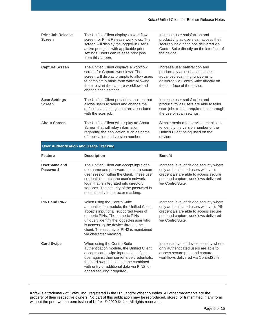| <b>Print Job Release</b><br>Screen            | The Unified Client displays a workflow<br>screen for Print Release workflows. The<br>screen will display the logged-in user's<br>active print jobs with applicable print<br>settings. Users can release print jobs<br>from this screen.                                                                          | Increase user satisfaction and<br>productivity as users can access their<br>securely held print jobs delivered via<br>ControlSuite directly on the interface of<br>the device.            |
|-----------------------------------------------|------------------------------------------------------------------------------------------------------------------------------------------------------------------------------------------------------------------------------------------------------------------------------------------------------------------|-------------------------------------------------------------------------------------------------------------------------------------------------------------------------------------------|
| <b>Capture Screen</b>                         | The Unified Client displays a workflow<br>screen for Capture workflows. The<br>screen will display prompts to allow users<br>to complete a basic form while allowing<br>them to start the capture workflow and<br>change scan settings.                                                                          | Increase user satisfaction and<br>productivity as users can access<br>advanced scanning functionality<br>delivered via ControlSuite directly on<br>the interface of the device.           |
| <b>Scan Settings</b><br>Screen                | The Unified Client provides a screen that<br>allows users to select and change the<br>default scan settings that are associated<br>with the scan job.                                                                                                                                                            | Increase user satisfaction and<br>productivity as users are able to tailor<br>scan jobs to their requirements through<br>the use of scan settings.                                        |
| <b>About Screen</b>                           | The Unified Client will display an About<br>Screen that will relay information<br>regarding the application such as name<br>of application and version number.                                                                                                                                                   | Simple method for service technicians<br>to identify the version number of the<br>Unified Client being used on the<br>device.                                                             |
| <b>User Authentication and Usage Tracking</b> |                                                                                                                                                                                                                                                                                                                  |                                                                                                                                                                                           |
|                                               |                                                                                                                                                                                                                                                                                                                  |                                                                                                                                                                                           |
| <b>Feature</b>                                | <b>Description</b>                                                                                                                                                                                                                                                                                               | <b>Benefit</b>                                                                                                                                                                            |
| Username and<br><b>Password</b>               | The Unified Client can accept input of a<br>username and password to start a secure<br>user session within the client. These user<br>credentials match the user's network<br>login that is integrated into directory<br>services. The security of the password is<br>maintained via character masking.           | Increase level of device security where<br>only authenticated users with valid<br>credentials are able to access secure<br>print and capture workflows delivered<br>via ControlSuite.     |
| PIN1 and PIN2                                 | When using the ControlSuite<br>authentication module, the Unified Client<br>accepts input of all supported types of<br>numeric PINs. The numeric PINs<br>uniquely identify the logged-in user who<br>is accessing the device through the<br>client. The security of PIN2 is maintained<br>via character masking. | Increase level of device security where<br>only authenticated users with valid PIN<br>credentials are able to access secure<br>print and capture workflows delivered<br>via ControlSuite. |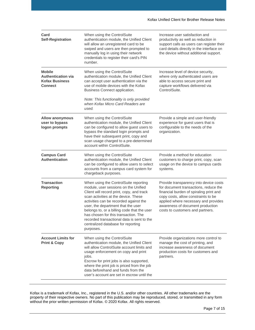| Card<br><b>Self-Registration</b>                                               | When using the ControlSuite<br>authentication module, the Unified Client<br>will allow an unregistered card to be<br>swiped and users are then prompted to<br>manually log in using their network<br>credentials to register their card's PIN<br>number.                                                                                                                                                                                   | Increase user satisfaction and<br>productivity as well as reduction in<br>support calls as users can register their<br>card details directly in the interface on<br>the device without additional support.                                                                        |
|--------------------------------------------------------------------------------|--------------------------------------------------------------------------------------------------------------------------------------------------------------------------------------------------------------------------------------------------------------------------------------------------------------------------------------------------------------------------------------------------------------------------------------------|-----------------------------------------------------------------------------------------------------------------------------------------------------------------------------------------------------------------------------------------------------------------------------------|
| <b>Mobile</b><br><b>Authentication via</b><br><b>Kofax Business</b><br>Connect | When using the ControlSuite<br>authentication module, the Unified Client<br>can accept user authentication via the<br>use of mobile devices with the Kofax<br>Business Connect application.<br>Note: This functionality is only provided<br>when Kofax Micro Card Readers are<br>used.                                                                                                                                                     | Increase level of device security,<br>where only authenticated users are<br>able to access secure print and<br>capture workflows delivered via<br>ControlSuite.                                                                                                                   |
| <b>Allow anonymous</b><br>user to bypass<br>logon prompts                      | When using the ControlSuite<br>authentication module, the Unified Client<br>can be configured to allow guest users to<br>bypass the standard login prompts and<br>have their subsequent print, copy and<br>scan usage charged to a pre-determined<br>account within ControlSuite.                                                                                                                                                          | Provide a simple and user-friendly<br>experience for guest users that is<br>configurable to the needs of the<br>organization.                                                                                                                                                     |
| <b>Campus Card</b><br><b>Authentication</b>                                    | When using the ControlSuite<br>authentication module, the Unified Client<br>can be configured to allow users to select<br>accounts from a campus card system for<br>chargeback purposes.                                                                                                                                                                                                                                                   | Provide a method for education<br>customers to charge print, copy, scan<br>usage on the device to campus cards<br>systems.                                                                                                                                                        |
| <b>Transaction</b><br><b>Reporting</b>                                         | When using the ControlSuite reporting<br>module, user sessions on the Unified<br>Client will record print, copy, and track<br>scan activities at the device. These<br>activities can be recorded against the<br>user, the department that the user<br>belongs to, or a billing code that the user<br>has chosen for this transaction. The<br>recorded transactional data is sent to the<br>centralized database for reporting<br>purposes. | Provide transparency into device costs<br>for document transactions, reduce the<br>financial burden of spiraling print and<br>copy costs, allow constraints to be<br>applied where necessary and provides<br>awareness of document production<br>costs to customers and partners. |
| <b>Account Limits for</b><br><b>Print &amp; Copy</b>                           | When using the ControlSuite<br>authentication module, the Unified Client<br>will allow ControlSuite account limits and<br>usage enforcement on copy and print<br>jobs.<br>Escrow for print jobs is also supported,<br>where the print job is priced from the job<br>data beforehand and funds from the<br>user's account are set in escrow until the                                                                                       | Provide organizations more control to<br>manage the cost of printing, and<br>increase awareness of document<br>production costs for customers and<br>partners.                                                                                                                    |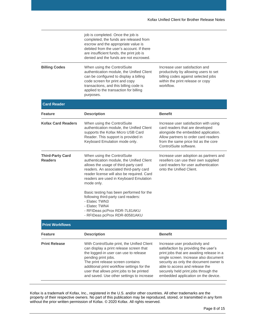|                                           | job is completed. Once the job is<br>completed, the funds are released from<br>escrow and the appropriate value is<br>debited from the user's account. If there<br>are insufficient funds, the print job is<br>denied and the funds are not escrowed.                                                                               |                                                                                                                                                                                                                                                                                                                         |
|-------------------------------------------|-------------------------------------------------------------------------------------------------------------------------------------------------------------------------------------------------------------------------------------------------------------------------------------------------------------------------------------|-------------------------------------------------------------------------------------------------------------------------------------------------------------------------------------------------------------------------------------------------------------------------------------------------------------------------|
| <b>Billing Codes</b>                      | When using the ControlSuite<br>authentication module, the Unified Client<br>can be configured to display a billing<br>code screen for print and copy<br>transactions, and this billing code is<br>applied to the transaction for billing<br>purposes.                                                                               | Increase user satisfaction and<br>productivity by allowing users to set<br>billing codes against selected jobs<br>within the print release or copy<br>workflow.                                                                                                                                                         |
| <b>Card Reader</b>                        |                                                                                                                                                                                                                                                                                                                                     |                                                                                                                                                                                                                                                                                                                         |
| Feature                                   | <b>Description</b>                                                                                                                                                                                                                                                                                                                  | <b>Benefit</b>                                                                                                                                                                                                                                                                                                          |
| <b>Kofax Card Readers</b>                 | When using the ControlSuite<br>authentication module, the Unified Client<br>supports the Kofax Micro USB Card<br>Reader. This support is provided in<br>Keyboard Emulation mode only.                                                                                                                                               | Increase user satisfaction with using<br>card readers that are developed<br>alongside the embedded application.<br>Allow partners to order card readers<br>from the same price list as the core<br>ControlSuite software.                                                                                               |
| <b>Third-Party Card</b><br><b>Readers</b> | When using the ControlSuite<br>authentication module, the Unified Client<br>allows the usage of third-party card<br>readers. An associated third-party card<br>reader license will also be required. Card<br>readers are used in Keyboard Emulation<br>mode only.                                                                   | Increase user adoption as partners and<br>resellers can use their own supplied<br>card readers for user authentication<br>onto the Unified Client.                                                                                                                                                                      |
|                                           | Basic testing has been performed for the<br>following third-party card readers:<br>- Elatec TWN3<br>- Elatec TWN4<br>- RFIDeas pcProx RDR-7L81AKU<br>- RFIDeas pcProx RDR-80581AKU                                                                                                                                                  |                                                                                                                                                                                                                                                                                                                         |
| <b>Print Workflows</b>                    |                                                                                                                                                                                                                                                                                                                                     |                                                                                                                                                                                                                                                                                                                         |
| <b>Feature</b>                            | <b>Description</b>                                                                                                                                                                                                                                                                                                                  | <b>Benefit</b>                                                                                                                                                                                                                                                                                                          |
| <b>Print Release</b>                      | With ControlSuite print, the Unified Client<br>can display a print release screen that<br>the logged-in user can use to release<br>pending print jobs.<br>The print release screen contains<br>additional print workflow settings for the<br>user that allows print jobs to be printed<br>and saved. Use other settings to increase | Increase user productivity and<br>satisfaction by providing the user's<br>print jobs that are awaiting release in a<br>single screen. Increase also document<br>security as only the document owner is<br>able to access and release the<br>securely held print jobs through the<br>embedded application on the device. |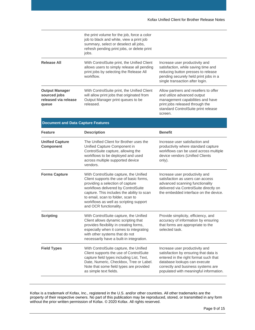|                                                                        | the print volume for the job, force a color<br>job to black and white, view a print job<br>summary, select or deselect all jobs,<br>refresh pending print jobs, or delete print<br>jobs.                                                                                                                            |                                                                                                                                                                                                                                  |
|------------------------------------------------------------------------|---------------------------------------------------------------------------------------------------------------------------------------------------------------------------------------------------------------------------------------------------------------------------------------------------------------------|----------------------------------------------------------------------------------------------------------------------------------------------------------------------------------------------------------------------------------|
| <b>Release All</b>                                                     | With ControlSuite print, the Unified Client<br>allows users to simply release all pending<br>print jobs by selecting the Release All<br>workflow.                                                                                                                                                                   | Increase user productivity and<br>satisfaction, while saving time and<br>reducing button presses to release<br>pending securely held print jobs in a<br>single transaction after login.                                          |
| <b>Output Manager</b><br>sourced jobs<br>released via release<br>queue | With ControlSuite print, the Unified Client<br>will allow print jobs that originated from<br>Output Manager print queues to be<br>released.                                                                                                                                                                         | Allow partners and resellers to offer<br>and utilize advanced output<br>management capabilities and have<br>print jobs released through the<br>standard ControlSuite print release<br>screen.                                    |
| <b>Document and Data Capture Features</b>                              |                                                                                                                                                                                                                                                                                                                     |                                                                                                                                                                                                                                  |
| <b>Feature</b>                                                         | <b>Description</b>                                                                                                                                                                                                                                                                                                  | <b>Benefit</b>                                                                                                                                                                                                                   |
| <b>Unified Capture</b><br><b>Component</b>                             | The Unified Client for Brother uses the<br>Unified Capture Component in<br>ControlSuite capture, allowing the<br>workflows to be deployed and used<br>across multiple supported device<br>vendors.                                                                                                                  | Increase user satisfaction and<br>productivity where standard capture<br>workflows can be used across multiple<br>device vendors (Unified Clients<br>only).                                                                      |
| <b>Forms Capture</b>                                                   | With ControlSuite capture, the Unified<br>Client supports the use of basic forms,<br>providing a selection of capture<br>workflows delivered by ControlSuite<br>capture. This includes the ability to scan<br>to email, scan to folder, scan to<br>workflows as well as scripting support<br>and OCR functionality. | Increase user productivity and<br>satisfaction as users can access<br>advanced scanning functionality<br>delivered via ControlSuite directly on<br>the embedded interface on the device.                                         |
| Scripting                                                              | With ControlSuite capture, the Unified<br>Client allows dynamic scripting that<br>provides flexibility in creating forms,<br>especially when it comes to integrating<br>with other systems that do not<br>necessarily have a built-in integration.                                                                  | Provide simplicity, efficiency, and<br>accuracy of information by ensuring<br>that forms are appropriate to the<br>selected task.                                                                                                |
| <b>Field Types</b>                                                     | With ControlSuite capture, the Unified<br>Client supports the use of ControlSuite<br>capture field types including List, Text,<br>Date, Numeric, Checkbox, Tree or Label.<br>Note that some field types are provided<br>as simple text fields.                                                                      | Increase user productivity and<br>satisfaction by ensuring that data is<br>entered in the right format such that<br>database lookups can execute<br>correctly and business systems are<br>populated with meaningful information. |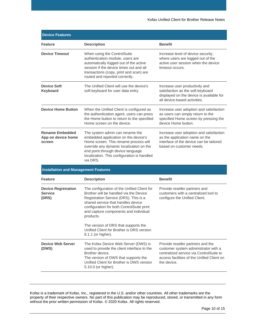| <b>Device Features</b>                                 |                                                                                                                                                                                                                                                                                                                                                                                    |                                                                                                                                                                                   |
|--------------------------------------------------------|------------------------------------------------------------------------------------------------------------------------------------------------------------------------------------------------------------------------------------------------------------------------------------------------------------------------------------------------------------------------------------|-----------------------------------------------------------------------------------------------------------------------------------------------------------------------------------|
| Feature                                                | <b>Description</b>                                                                                                                                                                                                                                                                                                                                                                 | <b>Benefit</b>                                                                                                                                                                    |
| <b>Device Timeout</b>                                  | When using the ControlSuite<br>authentication module, users are<br>automatically logged out of the active<br>session if the device times out and all<br>transactions (copy, print and scan) are<br>routed and reported correctly.                                                                                                                                                  | Increase level of device security,<br>where users are logged out of the<br>active user session when the device<br>timeout occurs.                                                 |
| <b>Device Soft</b><br>Keyboard                         | The Unified Client will use the device's<br>soft keyboard for user data entry.                                                                                                                                                                                                                                                                                                     | Increase user productivity and<br>satisfaction as the soft keyboard<br>displayed on the device is available for<br>all device-based activities.                                   |
| <b>Device Home Button</b>                              | When the Unified Client is configured as<br>the authentication agent, users can press<br>the Home button to return to the specified<br>Home screen on the device.                                                                                                                                                                                                                  | Increase user adoption and satisfaction<br>as users can simply return to the<br>specified Home screen by pressing the<br>device Home button.                                      |
| <b>Rename Embedded</b><br>App on device home<br>screen | The system admin can rename the<br>embedded application on the device's<br>Home screen. This rename process will<br>override any dynamic localization on the<br>end point through device language<br>localization. This configuration is handled<br>via DRS.                                                                                                                       | Increase user adoption and satisfaction<br>as the application name on the<br>interface of the device can be tailored<br>based on customer needs.                                  |
| <b>Installation and Management Features</b>            |                                                                                                                                                                                                                                                                                                                                                                                    |                                                                                                                                                                                   |
| <b>Feature</b>                                         | <b>Description</b>                                                                                                                                                                                                                                                                                                                                                                 | <b>Benefit</b>                                                                                                                                                                    |
| <b>Device Registration</b><br><b>Service</b><br>(DRS)  | The configuration of the Unified Client for<br>Brother will be handled via the Device<br>Registration Service (DRS). This is a<br>shared service that handles device<br>configuration for both ControlSuite print<br>and capture components and individual<br>products.<br>The version of DRS that supports the<br>Unified Client for Brother is DRS version<br>8.1.1 (or higher). | Provide reseller partners and<br>customers with a centralized tool to<br>configure the Unified Client.                                                                            |
| <b>Device Web Server</b><br>(DWS)                      | The Kofax Device Web Server (DWS) is<br>used to provide the client interface to the<br>Brother device.<br>The version of DWS that supports the<br>Unified Client for Brother is DWS version<br>5.10.0 (or higher).                                                                                                                                                                 | Provide reseller partners and the<br>customer system administrator with a<br>centralized service via ControlSuite to<br>access facilities of the Unified Client on<br>the device. |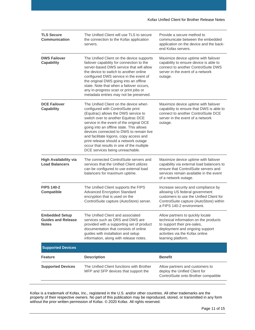| <b>TLS Secure</b><br><b>Communication</b>                          | The Unified Client will use TLS to secure<br>the connection to the Kofax application<br>servers.                                                                                                                                                                                                                                                                                                                                                                 | Provide a secure method to<br>communicate between the embedded<br>application on the device and the back-<br>end Kofax servers.                                                                     |
|--------------------------------------------------------------------|------------------------------------------------------------------------------------------------------------------------------------------------------------------------------------------------------------------------------------------------------------------------------------------------------------------------------------------------------------------------------------------------------------------------------------------------------------------|-----------------------------------------------------------------------------------------------------------------------------------------------------------------------------------------------------|
| <b>DWS Failover</b><br><b>Capability</b>                           | The Unified Client on the device supports<br>failover capability for connection to the<br>server-based DWS service that will allow<br>the device to switch to another online<br>configured DWS service in the event of<br>the original DWS going into an offline<br>state. Note that when a failover occurs,<br>any in-progress scan or print jobs or<br>metadata entries may not be preserved.                                                                  | Maximize device uptime with failover<br>capability to ensure device is able to<br>connect to another ControlSuite DWS<br>server in the event of a network<br>outage.                                |
| <b>DCE Failover</b><br><b>Capability</b>                           | The Unified Client on the device when<br>configured with ControlSuite print<br>(Equitrac) allows the DWS service to<br>switch over to another Equitrac DCE<br>service in the event of the original DCE<br>going into an offline state. This allows<br>devices connected to DWS to remain live<br>and facilitate logons, copy access and<br>print release should a network outage<br>occur that results in one of the multiple<br>DCE services being unreachable. | Maximize device uptime with failover<br>capability to ensure that DWS is able to<br>connect to another ControlSuite DCE<br>server in the event of a network<br>outage.                              |
| <b>High Availability via</b><br><b>Load Balancers</b>              | The connected ControlSuite servers and<br>services that the Unified Client utilizes<br>can be configured to use external load<br>balancers for maximum uptime.                                                                                                                                                                                                                                                                                                   | Maximize device uptime with failover<br>capability via external load balancers to<br>ensure that ControlSuite servers and<br>services remain available in the event<br>of a network outage.         |
| <b>FIPS 140-2</b><br><b>Compatible</b>                             | The Unified Client supports the FIPS<br><b>Advanced Encryption Standard</b><br>encryption that is used on the<br>ControlSuite capture (AutoStore) server.                                                                                                                                                                                                                                                                                                        | Increase security and compliance by<br>allowing US federal government<br>customers to use the Unified Client for<br>ControlSuite capture (AutoStore) within<br>a FIPS 140-2 environment.            |
| <b>Embedded Setup</b><br><b>Guides and Release</b><br><b>Notes</b> | The Unified Client and associated<br>services such as DRS and DWS are<br>provided with a supporting set of product<br>documentation that consists of online<br>guides with installation and setup<br>information, along with release notes.                                                                                                                                                                                                                      | Allow partners to quickly locate<br>technical information on the products<br>to support their pre-sales,<br>deployment and ongoing support<br>activities via the Kofax online<br>learning platform. |
| <b>Supported Devices</b>                                           |                                                                                                                                                                                                                                                                                                                                                                                                                                                                  |                                                                                                                                                                                                     |
| <b>Feature</b>                                                     | <b>Description</b>                                                                                                                                                                                                                                                                                                                                                                                                                                               | <b>Benefit</b>                                                                                                                                                                                      |
| <b>Supported Devices</b>                                           | The Unified Client functions with Brother<br>MFP and SFP devices that support the                                                                                                                                                                                                                                                                                                                                                                                | Allow partners and customers to<br>deploy the Unified Client for<br>ControlSuite onto Brother compatible                                                                                            |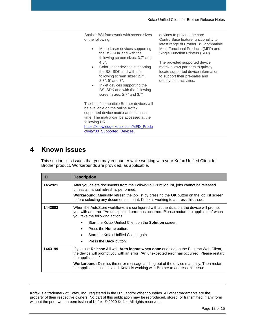Brother BSI framework with screen sizes of the following:

- Mono Laser devices supporting the BSI SDK and with the following screen sizes: 3.7" and 4.8".
- Color Laser devices supporting the BSI SDK and with the following screen sizes: 2.7", 3.7", 5" and 7".
- Inkjet devices supporting the BSI SDK and with the following screen sizes: 2.7" and 3.7".

The list of compatible Brother devices will be available on the online Kofax supported device matrix at the launch time. The matrix can be accessed at the following URL: [https://knowledge.kofax.com/MFD\\_Produ](https://knowledge.kofax.com/MFD_Productivity/00_Supported_Devices) [ctivity/00\\_Supported\\_Devices.](https://knowledge.kofax.com/MFD_Productivity/00_Supported_Devices)

devices to provide the core ControlSuite feature functionality to latest range of Brother BSI-compatible Multi-Functional Products (MFP) and Single Function Printers (SFP).

The provided supported device matrix allows partners to quickly locate supported device information to support their pre-sales and deployment activities.

#### <span id="page-11-0"></span>**4 Known issues**

This section lists issues that you may encounter while working with your Kofax Unified Client for Brother product. Workarounds are provided, as applicable.

| ID      | <b>Description</b>                                                                                                                                                                                                       |
|---------|--------------------------------------------------------------------------------------------------------------------------------------------------------------------------------------------------------------------------|
| 1452921 | After you delete documents from the Follow-You Print job list, jobs cannot be released<br>unless a manual refresh is performed.                                                                                          |
|         | Workaround: Manually refresh the job list by pressing the OK button on the job list screen<br>before selecting any documents to print. Kofax is working to address this issue.                                           |
| 1443882 | When the AutoStore workflows are configured with authentication, the device will prompt<br>you with an error: "An unexpected error has occurred. Please restart the application" when<br>you take the following actions: |
|         | Start the Kofax Unified Client on the <b>Solution</b> screen.<br>$\bullet$                                                                                                                                               |
|         | Press the <b>Home</b> button.                                                                                                                                                                                            |
|         | Start the Kofax Unified Client again.<br>$\bullet$                                                                                                                                                                       |
|         | Press the <b>Back</b> button.<br>$\bullet$                                                                                                                                                                               |
| 1443199 | If you use Release All with Auto logout when done enabled on the Equitrac Web Client,<br>the device will prompt you with an error: "An unexpected error has occurred. Please restart<br>the application."                |
|         | <b>Workaround:</b> Dismiss the error message and log out of the device manually. Then restart<br>the application as indicated. Kofax is working with Brother to address this issue.                                      |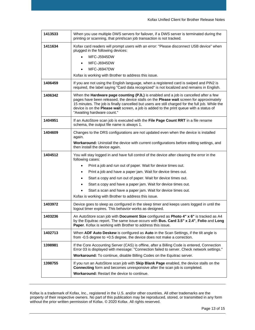| 1413533 | When you use multiple DWS servers for failover, if a DWS server is terminated during the<br>printing or scanning, that print/scan job transaction is not tracked.                                                                                                                                                                                                                                                                                                                                                       |
|---------|-------------------------------------------------------------------------------------------------------------------------------------------------------------------------------------------------------------------------------------------------------------------------------------------------------------------------------------------------------------------------------------------------------------------------------------------------------------------------------------------------------------------------|
| 1411634 | Kofax card readers will prompt users with an error: "Please disconnect USB device" when<br>plugged in the following devices:<br><b>MFC-J5945DW</b><br>MFC-J6945DW<br>MFC-J6947DW<br>Kofax is working with Brother to address this issue.                                                                                                                                                                                                                                                                                |
| 1406459 | If you are not using the English language, when a registered card is swiped and PIN2 is<br>required, the label saying "Card data recognized" is not localized and remains in English.                                                                                                                                                                                                                                                                                                                                   |
| 1406342 | When the Hardware page counting (PJL) is enabled and a job is cancelled after a few<br>pages have been released, the device stalls on the Please wait screen for approximately<br>15 minutes. The job is finally cancelled but users are still charged for the full job. While the<br>device is on the Please wait screen, a job is added to the print queue with a status of<br>"Awaiting hardware count."                                                                                                             |
| 1404951 | If an AutoStore scan job is executed with the File Page Count RRT in a file rename<br>schema, the output file name is always 1.                                                                                                                                                                                                                                                                                                                                                                                         |
| 1404609 | Changes to the DRS configurations are not updated even when the device is installed<br>again.<br>Workaround: Uninstall the device with current configurations before editing settings, and<br>then install the device again.                                                                                                                                                                                                                                                                                            |
| 1404512 | You will stay logged in and have full control of the device after clearing the error in the<br>following cases:<br>Print a job and run out of paper. Wait for device times out.<br>Print a job and have a paper jam. Wait for device times out.<br>$\bullet$<br>Start a copy and run out of paper. Wait for device times out.<br>Start a copy and have a paper jam. Wait for device times out.<br>Start a scan and have a paper jam. Wait for device times out.<br>Kofax is working with Brother to address this issue. |
| 1403972 | Device goes to sleep as configured in the sleep timer and keeps users logged in until the<br>logout timer expires. This behavior works as designed.                                                                                                                                                                                                                                                                                                                                                                     |
| 1403236 | An AutoStore scan job with Document Size configured as Photo 4" x 6" is tracked as A4<br>by the Equitrac report. The same issue occurs with Bus. Card 3.5" x 2.4", Folio and Long<br>Paper. Kofax is working with Brother to address this issue.                                                                                                                                                                                                                                                                        |
| 1402713 | When ADF Auto Deskew is configured as Auto in the Scan Settings, if the tilt angle is<br>from -0.5 degree to +0.5 degree, the device does not make a correction.                                                                                                                                                                                                                                                                                                                                                        |
| 1398981 | If the Core Accounting Server (CAS) is offline, after a Billing Code is entered, Connection<br>Error 03 is displayed with message: "Connection failed to server. Check network settings."<br>Workaround: To continue, disable Billing Codes on the Equitrac server.                                                                                                                                                                                                                                                     |
| 1398755 | If you run an AutoStore scan job with Skip Blank Page enabled, the device stalls on the<br>Connecting form and becomes unresponsive after the scan job is completed.<br>Workaround: Restart the device to continue.                                                                                                                                                                                                                                                                                                     |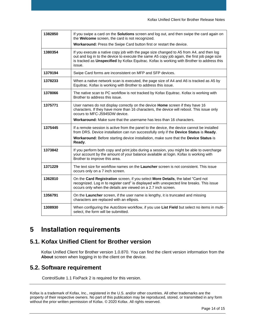| 1382850 | If you swipe a card on the <b>Solutions</b> screen and log out, and then swipe the card again on<br>the Welcome screen, the card is not recognized.                                                                                                                                            |
|---------|------------------------------------------------------------------------------------------------------------------------------------------------------------------------------------------------------------------------------------------------------------------------------------------------|
|         | <b>Workaround:</b> Press the Swipe Card button first or restart the device.                                                                                                                                                                                                                    |
| 1380354 | If you execute a native copy job with the page size changed to A5 from A4, and then log<br>out and log in to the device to execute the same A5 copy job again, the first job page size<br>is tracked as Unspecified by Kofax Equitrac. Kofax is working with Brother to address this<br>issue. |
| 1379194 | Swipe Card forms are inconsistent on MFP and SFP devices.                                                                                                                                                                                                                                      |
| 1378233 | When a native network scan is executed, the page size of A4 and A6 is tracked as A5 by<br>Equitrac. Kofax is working with Brother to address this issue.                                                                                                                                       |
| 1378066 | The native scan to PC workflow is not tracked by Kofax Equitrac. Kofax is working with<br>Brother to address this issue.                                                                                                                                                                       |
| 1375771 | User names do not display correctly on the device Home screen if they have 16<br>characters. If they have more than 16 characters, the device will reboot. This issue only<br>occurs to MFC-J5945DW device.                                                                                    |
|         | <b>Workaround:</b> Make sure that the username has less than 16 characters.                                                                                                                                                                                                                    |
| 1375445 | If a remote session is active from the panel to the device, the device cannot be installed<br>from DRS. Device installation can run successfully only if the Device Status is Ready.                                                                                                           |
|         | Workaround: Before starting device installation, make sure that the Device Status is<br>Ready.                                                                                                                                                                                                 |
| 1373842 | If you perform both copy and print jobs during a session, you might be able to overcharge<br>your account by the amount of your balance available at login. Kofax is working with<br>Brother to improve this area.                                                                             |
| 1371229 | The text size for workflow names on the Launcher screen is not consistent. This issue<br>occurs only on a 7 inch screen.                                                                                                                                                                       |
| 1362810 | On the Card Registration screen, if you select More Details, the label "Card not<br>recognized. Log in to register card" is displayed with unexpected line breaks. This issue<br>occurs only when the details are viewed on a 2.7 inch screen.                                                 |
| 1356791 | On the Launcher screen, if the user name is lengthy, it is truncated and missing<br>characters are replaced with an ellipsis.                                                                                                                                                                  |
| 1308930 | When configuring the AutoStore workflow, if you use List Field but select no items in multi-<br>select, the form will be submitted.                                                                                                                                                            |

# <span id="page-13-0"></span>**5 Installation requirements**

#### **5.1. Kofax Unified Client for Brother version**

Kofax Unified Client for Brother version 1.0.870. You can find the client version information from the **About** screen when logging in to the client on the device.

#### **5.2. Software requirement**

ControlSuite 1.1 FixPack 2 is required for this version.